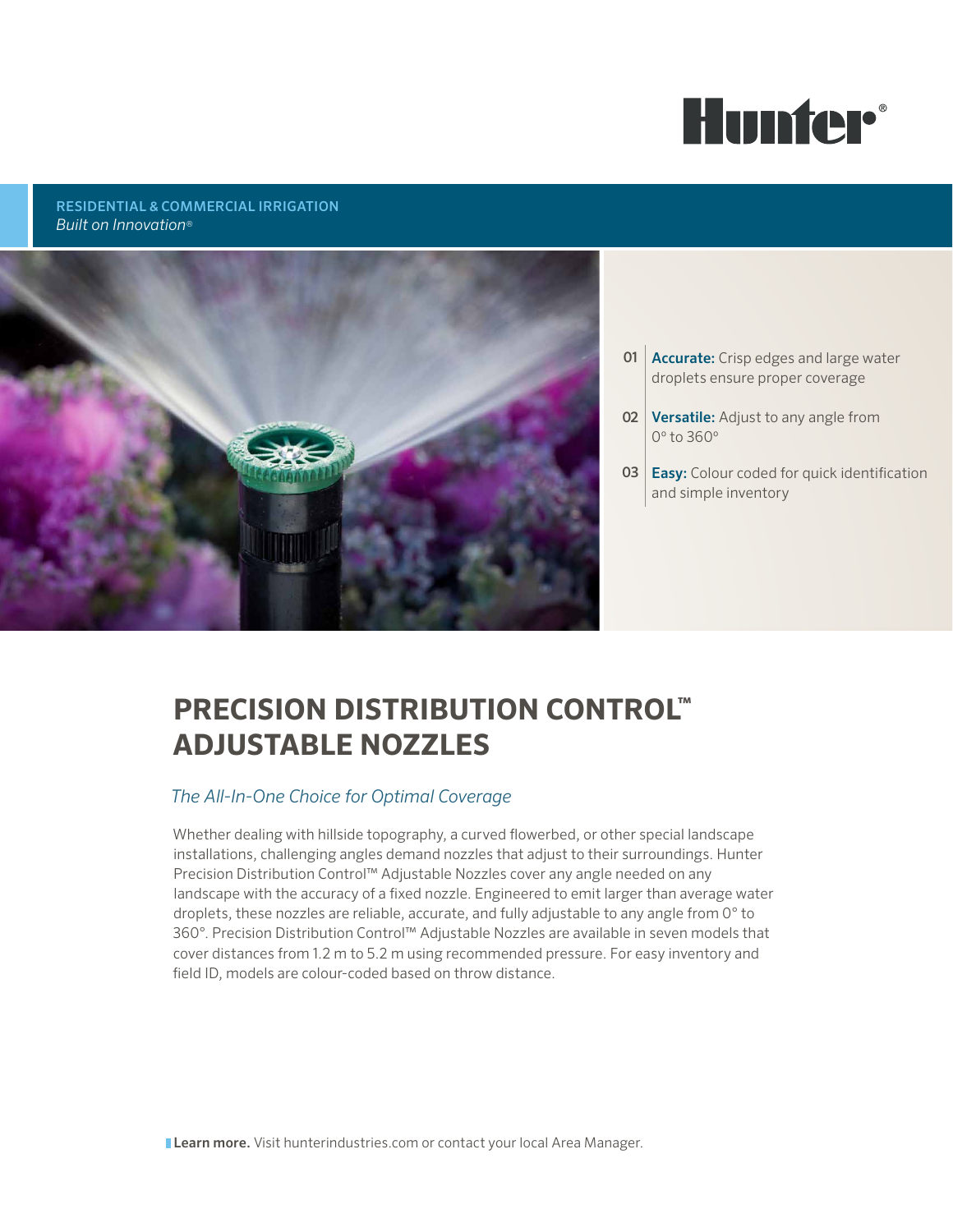

### RESIDENTIAL & COMMERCIAL IRRIGATION *Built on Innovation*®



- **01 Accurate:** Crisp edges and large water droplets ensure proper coverage
- **02 Versatile:** Adjust to any angle from 0º to 360º
- **03 Easy:** Colour coded for quick identification and simple inventory

# **PRECISION DISTRIBUTION CONTROL™ ADJUSTABLE NOZZLES**

# *The All-In-One Choice for Optimal Coverage*

Whether dealing with hillside topography, a curved flowerbed, or other special landscape installations, challenging angles demand nozzles that adjust to their surroundings. Hunter Precision Distribution Control™ Adjustable Nozzles cover any angle needed on any landscape with the accuracy of a fixed nozzle. Engineered to emit larger than average water droplets, these nozzles are reliable, accurate, and fully adjustable to any angle from 0° to 360°. Precision Distribution Control™ Adjustable Nozzles are available in seven models that cover distances from 1.2 m to 5.2 m using recommended pressure. For easy inventory and field ID, models are colour-coded based on throw distance.